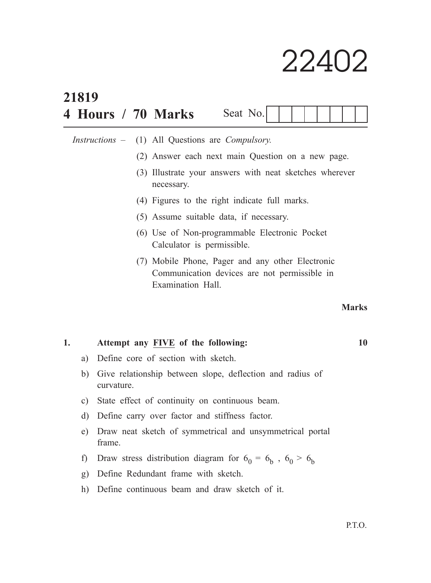# 22402

| 21819                                    |                                                                         |  |  |                                                                                                                       |          |  |  |  |  |    |              |  |
|------------------------------------------|-------------------------------------------------------------------------|--|--|-----------------------------------------------------------------------------------------------------------------------|----------|--|--|--|--|----|--------------|--|
|                                          |                                                                         |  |  | 4 Hours / 70 Marks                                                                                                    | Seat No. |  |  |  |  |    |              |  |
| <i>Instructions</i> –                    |                                                                         |  |  | (1) All Questions are Compulsory.                                                                                     |          |  |  |  |  |    |              |  |
|                                          |                                                                         |  |  | (2) Answer each next main Question on a new page.                                                                     |          |  |  |  |  |    |              |  |
|                                          |                                                                         |  |  | (3) Illustrate your answers with neat sketches wherever<br>necessary.                                                 |          |  |  |  |  |    |              |  |
|                                          |                                                                         |  |  | (4) Figures to the right indicate full marks.                                                                         |          |  |  |  |  |    |              |  |
|                                          |                                                                         |  |  | (5) Assume suitable data, if necessary.                                                                               |          |  |  |  |  |    |              |  |
|                                          |                                                                         |  |  | (6) Use of Non-programmable Electronic Pocket<br>Calculator is permissible.                                           |          |  |  |  |  |    |              |  |
|                                          |                                                                         |  |  | (7) Mobile Phone, Pager and any other Electronic<br>Communication devices are not permissible in<br>Examination Hall. |          |  |  |  |  |    |              |  |
|                                          |                                                                         |  |  |                                                                                                                       |          |  |  |  |  |    | <b>Marks</b> |  |
| 1.<br>Attempt any FIVE of the following: |                                                                         |  |  |                                                                                                                       |          |  |  |  |  | 10 |              |  |
| a)                                       | Define core of section with sketch.                                     |  |  |                                                                                                                       |          |  |  |  |  |    |              |  |
| b)                                       | Give relationship between slope, deflection and radius of<br>curvature. |  |  |                                                                                                                       |          |  |  |  |  |    |              |  |
| $\mathbf{c})$<br>$\rm d)$                |                                                                         |  |  | State effect of continuity on continuous beam.                                                                        |          |  |  |  |  |    |              |  |
|                                          |                                                                         |  |  | Define carry over factor and stiffness factor.                                                                        |          |  |  |  |  |    |              |  |
| e)                                       |                                                                         |  |  | Draw neat sketch of symmetrical and unsymmetrical portal                                                              |          |  |  |  |  |    |              |  |

- frame.
- f) Draw stress distribution diagram for  $6_0 = 6_b$ ,  $6_0 > 6_b$
- g) Define Redundant frame with sketch.
- h) Define continuous beam and draw sketch of it.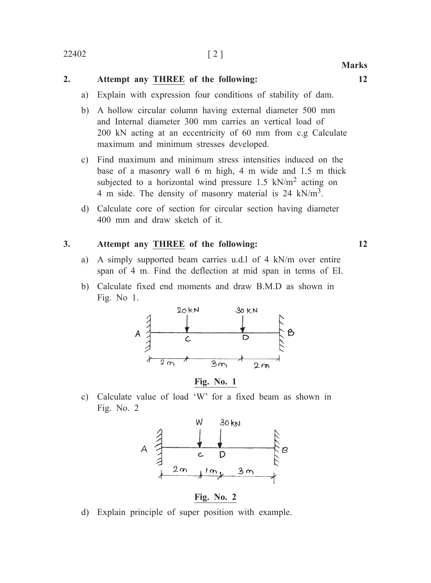### **2. Attempt any THREE of the following: 12**

- a) Explain with expression four conditions of stability of dam.
- b) A hollow circular column having external diameter 500 mm and Internal diameter 300 mm carries an vertical load of 200 kN acting at an eccentricity of 60 mm from c.g Calculate maximum and minimum stresses developed.
- c) Find maximum and minimum stress intensities induced on the base of a masonry wall 6 m high, 4 m wide and 1.5 m thick subjected to a horizontal wind pressure  $1.5 \text{ kN/m}^2$  acting on 4 m side. The density of masonry material is 24 kN/m3.
- d) Calculate core of section for circular section having diameter 400 mm and draw sketch of it.

#### **3. Attempt any THREE of the following: 12**

- a) A simply supported beam carries u.d.l of 4 kN/m over entire span of 4 m. Find the deflection at mid span in terms of EI.
- b) Calculate fixed end moments and draw B.M.D as shown in Fig. No 1.



**Fig. No. 1**

c) Calculate value of load 'W' for a fixed beam as shown in Fig. No. 2



**Fig. No. 2**

d) Explain principle of super position with example.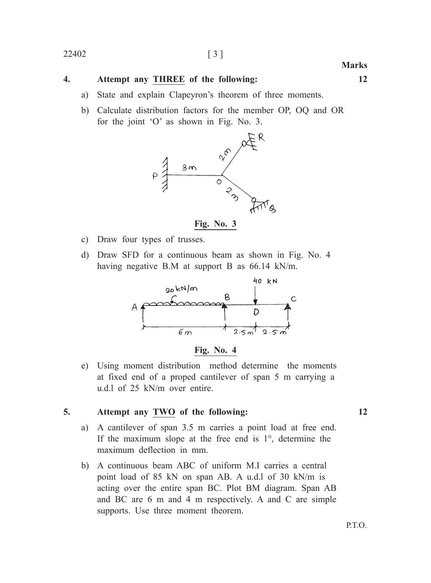## 22402 [ 3 ]

## **4. Attempt any THREE of the following: 12**

- a) State and explain Clapeyron's theorem of three moments.
- b) Calculate distribution factors for the member OP, OQ and OR for the joint 'O' as shown in Fig. No. 3.





- c) Draw four types of trusses.
- d) Draw SFD for a continuous beam as shown in Fig. No. 4 having negative B.M at support B as 66.14 kN/m.





e) Using moment distribution method determine the moments at fixed end of a proped cantilever of span 5 m carrying a u.d.l of 25 kN/m over entire.

#### **5. Attempt any TWO of the following: 12**

- a) A cantilever of span 3.5 m carries a point load at free end. If the maximum slope at the free end is 1°, determine the maximum deflection in mm.
- b) A continuous beam ABC of uniform M.I carries a central point load of 85 kN on span AB. A u.d.l of 30 kN/m is acting over the entire span BC. Plot BM diagram. Span AB and BC are 6 m and 4 m respectively. A and C are simple supports. Use three moment theorem.